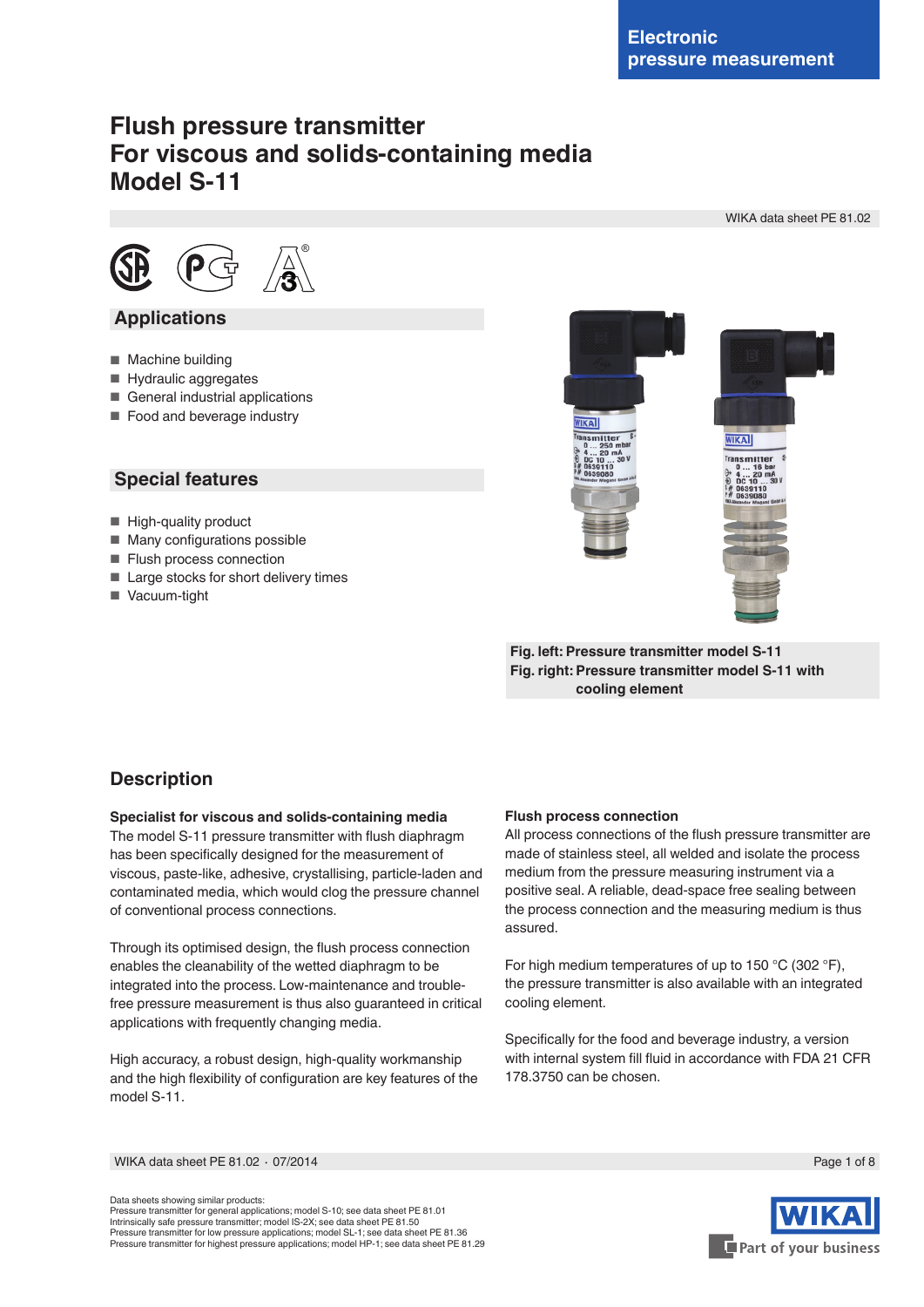WIKA data sheet PE 81.02

# **Flush pressure transmitter For viscous and solids-containing media Model S-11**



## **Applications**

- Machine building
- Hydraulic aggregates
- General industrial applications
- Food and beverage industry

## **Special features**

- High-quality product
- Many configurations possible
- Flush process connection
- Large stocks for short delivery times
- Vacuum-tight



**Fig. left: Pressure transmitter model S-11 Fig. right: Pressure transmitter model S-11 with cooling element**

# **Description**

#### **Specialist for viscous and solids-containing media**

The model S-11 pressure transmitter with flush diaphragm has been specifically designed for the measurement of viscous, paste-like, adhesive, crystallising, particle-laden and contaminated media, which would clog the pressure channel of conventional process connections.

Through its optimised design, the flush process connection enables the cleanability of the wetted diaphragm to be integrated into the process. Low-maintenance and troublefree pressure measurement is thus also guaranteed in critical applications with frequently changing media.

High accuracy, a robust design, high-quality workmanship and the high flexibility of configuration are key features of the model S-11.

#### **Flush process connection**

All process connections of the flush pressure transmitter are made of stainless steel, all welded and isolate the process medium from the pressure measuring instrument via a positive seal. A reliable, dead-space free sealing between the process connection and the measuring medium is thus assured.

For high medium temperatures of up to 150 °C (302 °F), the pressure transmitter is also available with an integrated cooling element.

Specifically for the food and beverage industry, a version with internal system fill fluid in accordance with FDA 21 CFR 178.3750 can be chosen.

WIKA data sheet PE 81.02 ⋅ 07/2014 Page 1 of 8

Data sheets showing similar products: Pressure transmitter for general applications; model S-10; see data sheet PE 81.01 Intrinsically safe pressure transmitter; model IS-2X; see data sheet PE 81.50 Pressure transmitter for low pressure applications; model SL-1; see data sheet PE 81.36 Pressure transmitter for highest pressure applications; model HP-1; see data sheet PE 81.29

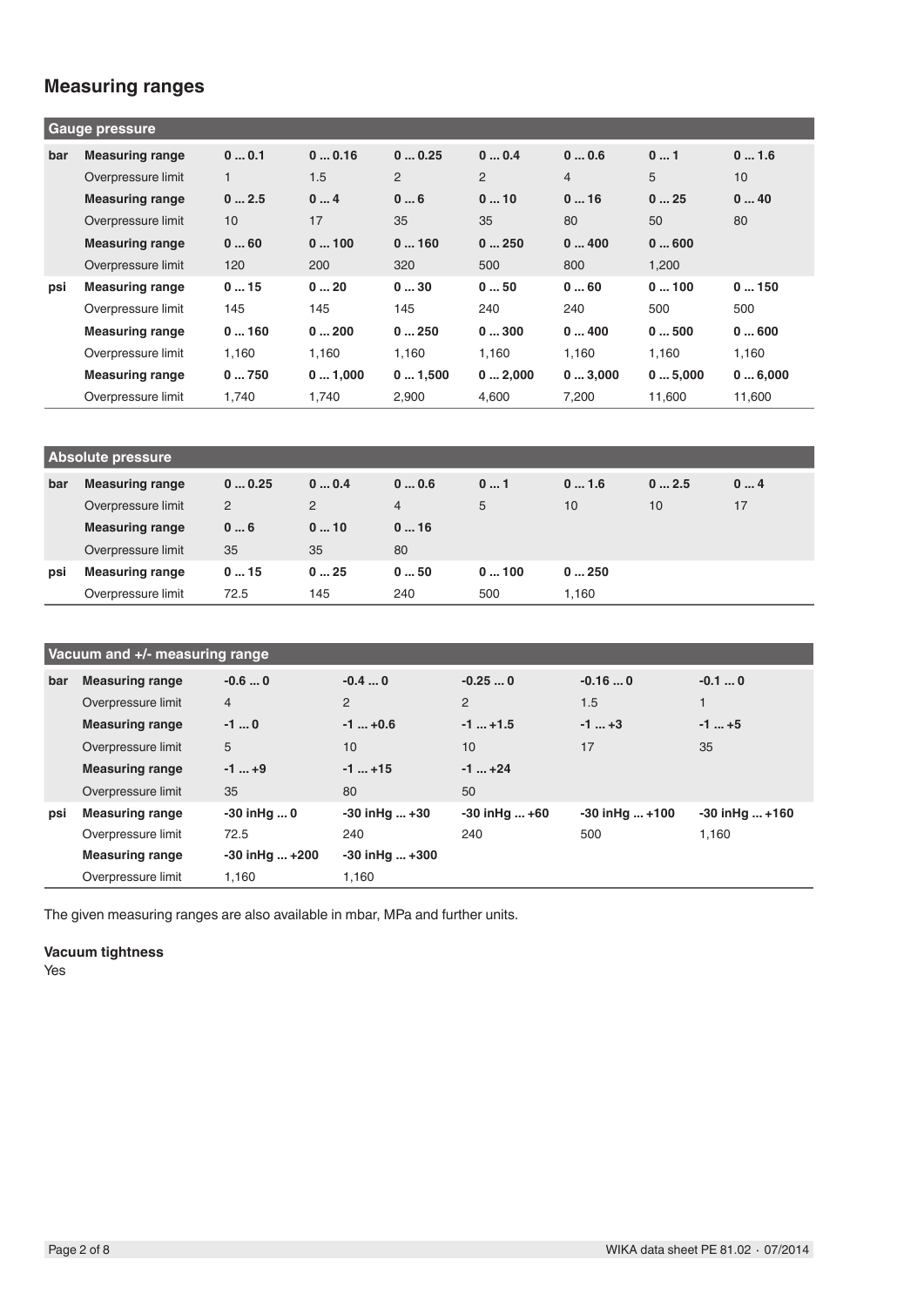# **Measuring ranges**

| <b>Gauge pressure</b> |                        |       |        |        |        |        |        |        |
|-----------------------|------------------------|-------|--------|--------|--------|--------|--------|--------|
| bar                   | <b>Measuring range</b> | 00.1  | 00.16  | 00.25  | 00.4   | 00.6   | 01     | 01.6   |
|                       | Overpressure limit     |       | 1.5    | 2      | 2      | 4      | 5      | 10     |
|                       | <b>Measuring range</b> | 02.5  | 04     | 06     | 010    | 016    | 025    | 040    |
|                       | Overpressure limit     | 10    | 17     | 35     | 35     | 80     | 50     | 80     |
|                       | <b>Measuring range</b> | 060   | 0100   | 0160   | 0250   | 0400   | 0600   |        |
|                       | Overpressure limit     | 120   | 200    | 320    | 500    | 800    | 1,200  |        |
| psi                   | <b>Measuring range</b> | 015   | 020    | 030    | 050    | 060    | 0100   | 0150   |
|                       | Overpressure limit     | 145   | 145    | 145    | 240    | 240    | 500    | 500    |
|                       | <b>Measuring range</b> | 0160  | 0200   | 0250   | 0300   | 0400   | 0500   | 0600   |
|                       | Overpressure limit     | 1,160 | 1.160  | 1.160  | 1.160  | 1.160  | 1.160  | 1.160  |
|                       | <b>Measuring range</b> | 0750  | 01,000 | 01,500 | 02,000 | 03,000 | 05,000 | 06,000 |
|                       | Overpressure limit     | 1,740 | 1,740  | 2,900  | 4,600  | 7,200  | 11,600 | 11,600 |

| <b>Absolute pressure</b> |                        |       |                |                |      |       |      |    |
|--------------------------|------------------------|-------|----------------|----------------|------|-------|------|----|
| bar                      | <b>Measuring range</b> | 00.25 | 00.4           | 00.6           | 01   | 01.6  | 02.5 | 04 |
|                          | Overpressure limit     | 2     | $\overline{2}$ | $\overline{4}$ | 5    | 10    | 10   | 17 |
|                          | <b>Measuring range</b> | 06    | 010            | 016            |      |       |      |    |
|                          | Overpressure limit     | 35    | 35             | 80             |      |       |      |    |
| psi                      | <b>Measuring range</b> | 015   | 025            | 050            | 0100 | 0250  |      |    |
|                          | Overpressure limit     | 72.5  | 145            | 240            | 500  | 1.160 |      |    |

| Vacuum and +/- measuring range |                        |                    |                      |                   |                   |                    |
|--------------------------------|------------------------|--------------------|----------------------|-------------------|-------------------|--------------------|
| bar                            | <b>Measuring range</b> | $-0.60$            | $-0.40$              | $-0.250$          | $-0.160$          | $-0.10$            |
|                                | Overpressure limit     | $\overline{4}$     | $\overline{2}$       | $\overline{2}$    | 1.5               |                    |
|                                | <b>Measuring range</b> | $-1$ 0             | $-1  +0.6$           | $-1$ $+1.5$       | $-1+3$            | $-1$ $+5$          |
|                                | Overpressure limit     | 5                  | 10                   | 10 <sup>1</sup>   | 17                | 35                 |
|                                | <b>Measuring range</b> | $-1$ +9            | $-1+15$              | $-1+24$           |                   |                    |
|                                | Overpressure limit     | 35                 | 80                   | 50                |                   |                    |
| psi                            | <b>Measuring range</b> | -30 inHq  0        | $-30$ in Hg $+30$    | $-30$ in Hq $+60$ | $-30$ inHq $+100$ | $-30$ in Hq $+160$ |
|                                | Overpressure limit     | 72.5               | 240                  | 240               | 500               | 1,160              |
|                                | <b>Measuring range</b> | $-30$ in Hq $+200$ | $-30$ in Hq $ + 300$ |                   |                   |                    |
|                                | Overpressure limit     | 1,160              | 1,160                |                   |                   |                    |

The given measuring ranges are also available in mbar, MPa and further units.

#### **Vacuum tightness**

Yes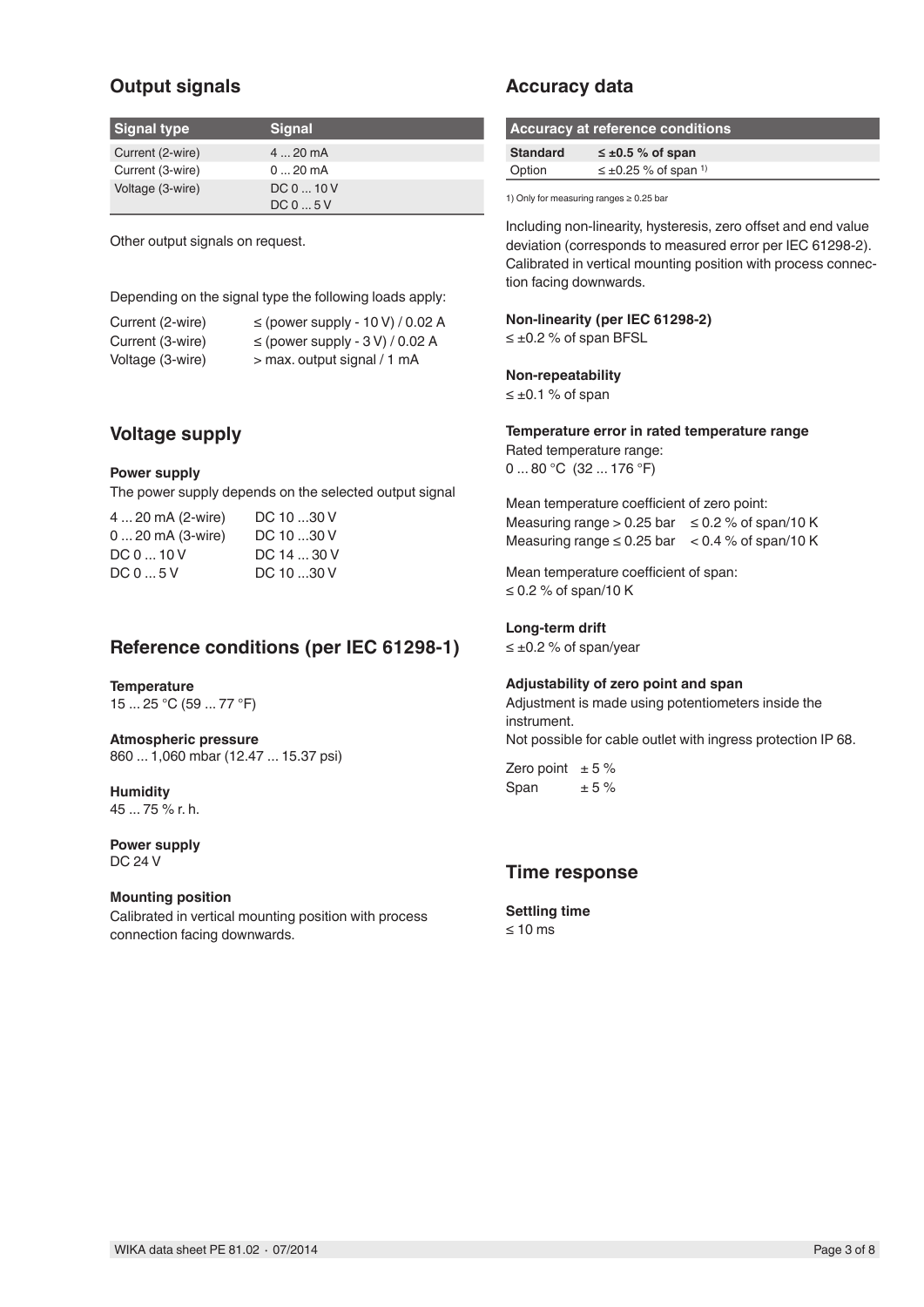# **Output signals**

| Signal type      | <b>Signal</b> |
|------------------|---------------|
| Current (2-wire) | $420$ mA      |
| Current (3-wire) | $020$ mA      |
| Voltage (3-wire) | DC 0  10 V    |
|                  | DC05V         |

Other output signals on request.

Depending on the signal type the following loads apply:

| Current (2-wire) | $\le$ (power supply - 10 V) / 0.02 A |
|------------------|--------------------------------------|
| Current (3-wire) | $\le$ (power supply - 3 V) / 0.02 A  |
| Voltage (3-wire) | > max. output signal / 1 mA          |

## **Voltage supply**

#### **Power supply**

The power supply depends on the selected output signal

| DC 10 30 V  |
|-------------|
| DC 10 30 V  |
| DC 14  30 V |
| DC 10 30 V  |
|             |

## **Reference conditions (per IEC 61298-1)**

#### **Temperature**

15 ... 25 °C (59 ... 77 °F)

**Atmospheric pressure** 860 ... 1,060 mbar (12.47 ... 15.37 psi)

**Humidity** 45 ... 75 % r. h.

**Power supply** DC 24 V

#### **Mounting position**

Calibrated in vertical mounting position with process connection facing downwards.

## **Accuracy data**

| Accuracy at reference conditions |                                         |  |  |  |
|----------------------------------|-----------------------------------------|--|--|--|
| <b>Standard</b>                  | $\leq \pm 0.5$ % of span                |  |  |  |
| Option                           | $\leq \pm 0.25$ % of span <sup>1)</sup> |  |  |  |

1) Only for measuring ranges ≥ 0.25 bar

Including non-linearity, hysteresis, zero offset and end value deviation (corresponds to measured error per IEC 61298-2). Calibrated in vertical mounting position with process connection facing downwards.

# **Non-linearity (per IEC 61298-2)**

≤ ±0.2 % of span BFSL

#### **Non-repeatability**

≤ ±0.1 % of span

#### **Temperature error in rated temperature range** Rated temperature range:

0 ... 80 °C (32 ... 176 °F)

Mean temperature coefficient of zero point: Measuring range > 0.25 bar  $\leq$  0.2 % of span/10 K Measuring range  $\leq 0.25$  bar  $\leq 0.4$  % of span/10 K

Mean temperature coefficient of span: ≤ 0.2 % of span/10 K

#### **Long-term drift**

≤ ±0.2 % of span/year

#### **Adjustability of zero point and span**

Adjustment is made using potentiometers inside the instrument. Not possible for cable outlet with ingress protection IP 68.

Zero point  $\pm$  5% Span  $± 5 \%$ 

### **Time response**

**Settling time**  $< 10$  ms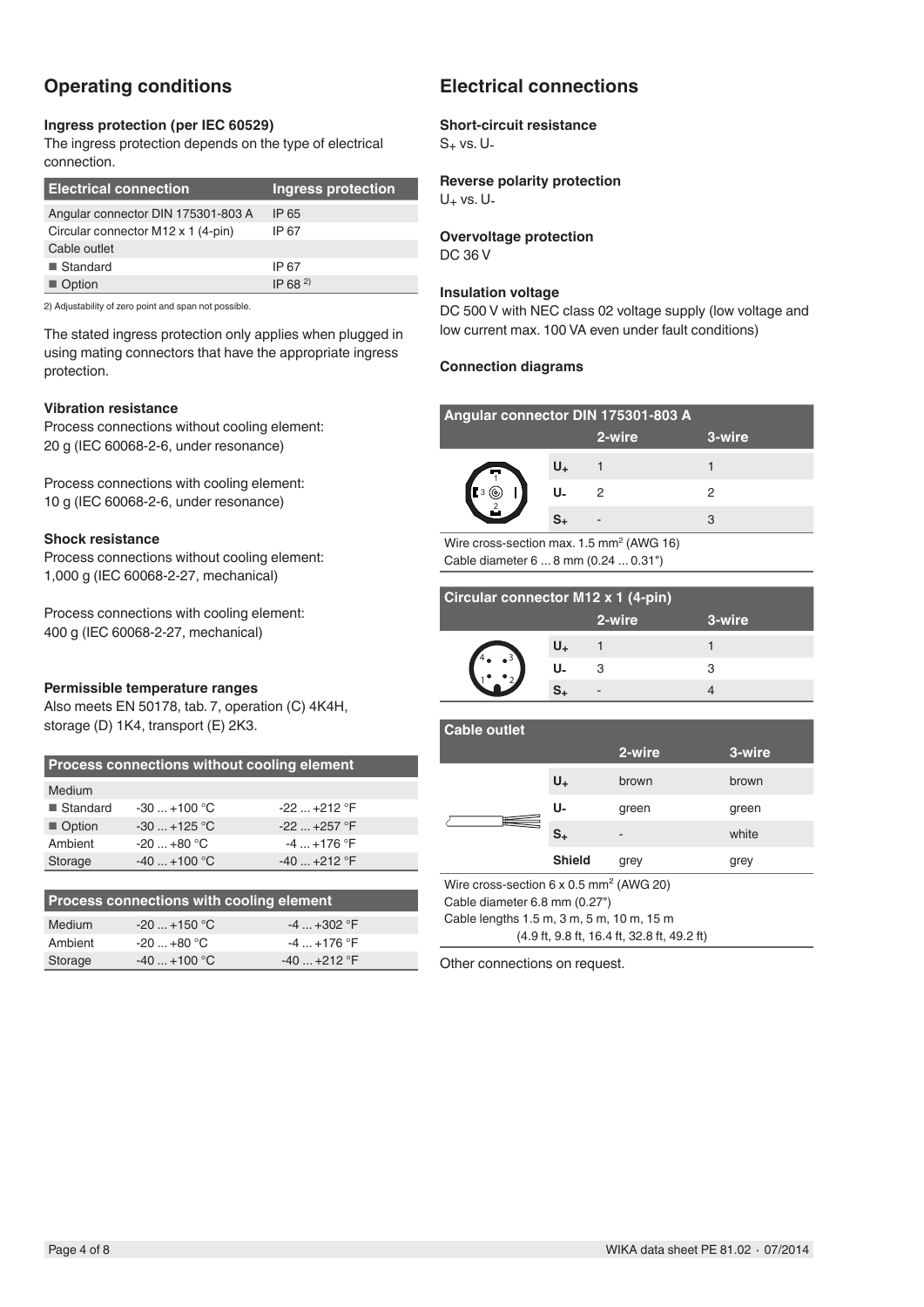# **Operating conditions**

#### **Ingress protection (per IEC 60529)**

The ingress protection depends on the type of electrical connection.

| <b>Electrical connection</b>       | Ingress protection |
|------------------------------------|--------------------|
| Angular connector DIN 175301-803 A | IP 65              |
| Circular connector M12 x 1 (4-pin) | IP 67              |
| Cable outlet                       |                    |
| ■ Standard                         | IP 67              |
| ■ Option                           | $IP$ 68 $^{2}$     |

2) Adjustability of zero point and span not possible.

The stated ingress protection only applies when plugged in using mating connectors that have the appropriate ingress protection.

#### **Vibration resistance**

Process connections without cooling element: 20 g (IEC 60068-2-6, under resonance)

Process connections with cooling element: 10 g (IEC 60068-2-6, under resonance)

#### **Shock resistance**

Process connections without cooling element: 1,000 g (IEC 60068-2-27, mechanical)

Process connections with cooling element: 400 g (IEC 60068-2-27, mechanical)

#### **Permissible temperature ranges**

Also meets EN 50178, tab. 7, operation (C) 4K4H, storage (D) 1K4, transport (E) 2K3.

| <b>Process connections without cooling element</b> |              |                 |  |  |  |
|----------------------------------------------------|--------------|-----------------|--|--|--|
| Medium                                             |              |                 |  |  |  |
| ■ Standard                                         | $-30+100$ °C | $-22$ $+212$ °F |  |  |  |
| Option                                             | $-30+125$ °C | $-22$ $+257$ °F |  |  |  |
| Ambient                                            | $-20+80$ °C  | $-4$ $+176$ °F  |  |  |  |
| $-40+100$ °C<br>Storage<br>$-40$ +212 °F           |              |                 |  |  |  |
|                                                    |              |                 |  |  |  |

| Process connections with cooling element |                 |              |  |  |  |
|------------------------------------------|-----------------|--------------|--|--|--|
| Medium                                   | $-20$ $+150$ °C | $-4+302$ °F  |  |  |  |
| Ambient                                  | $-20+80 °C$     | $-4+176$ °F  |  |  |  |
| Storage                                  | $-40+100$ °C    | $-40+212$ °F |  |  |  |

# **Electrical connections**

#### **Short-circuit resistance**

 $S_+$  vs. U-

## **Reverse polarity protection**

 $U_+$  vs.  $U_-$ 

## **Overvoltage protection**

DC 36 V

#### **Insulation voltage**

DC 500 V with NEC class 02 voltage supply (low voltage and low current max. 100 VA even under fault conditions)

#### **Connection diagrams**

| Angular connector DIN 175301-803 A |    |        |        |  |  |
|------------------------------------|----|--------|--------|--|--|
|                                    |    | 2-wire | 3-wire |  |  |
|                                    | U+ |        |        |  |  |
| ſο.                                | U- | 2      | 2      |  |  |
|                                    |    |        |        |  |  |

Wire cross-section max. 1.5 mm<sup>2</sup> (AWG 16) Cable diameter 6 ... 8 mm (0.24 ... 0.31")

| <b>Circular connector M12 x 1 (4-pin)</b> |    |        |        |  |  |
|-------------------------------------------|----|--------|--------|--|--|
|                                           |    | 2-wire | 3-wire |  |  |
|                                           |    |        |        |  |  |
|                                           | U. | З      |        |  |  |
|                                           |    |        |        |  |  |

| <b>Cable outlet</b>                                        |               |        |        |  |
|------------------------------------------------------------|---------------|--------|--------|--|
|                                                            |               | 2-wire | 3-wire |  |
| ⊞                                                          | $U_{+}$       | brown  | brown  |  |
|                                                            | U-            | green  | green  |  |
|                                                            | $S_{+}$       |        | white  |  |
|                                                            | <b>Shield</b> | grey   | grey   |  |
| Wire cross-section $6 \times 0.5$ mm <sup>2</sup> (AWG 20) |               |        |        |  |
| Cable diameter 6.8 mm (0.27")                              |               |        |        |  |
| Cable lengths 1.5 m, 3 m, 5 m, 10 m, 15 m                  |               |        |        |  |
| (4.9 ft, 9.8 ft, 16.4 ft, 32.8 ft, 49.2 ft)                |               |        |        |  |

Other connections on request.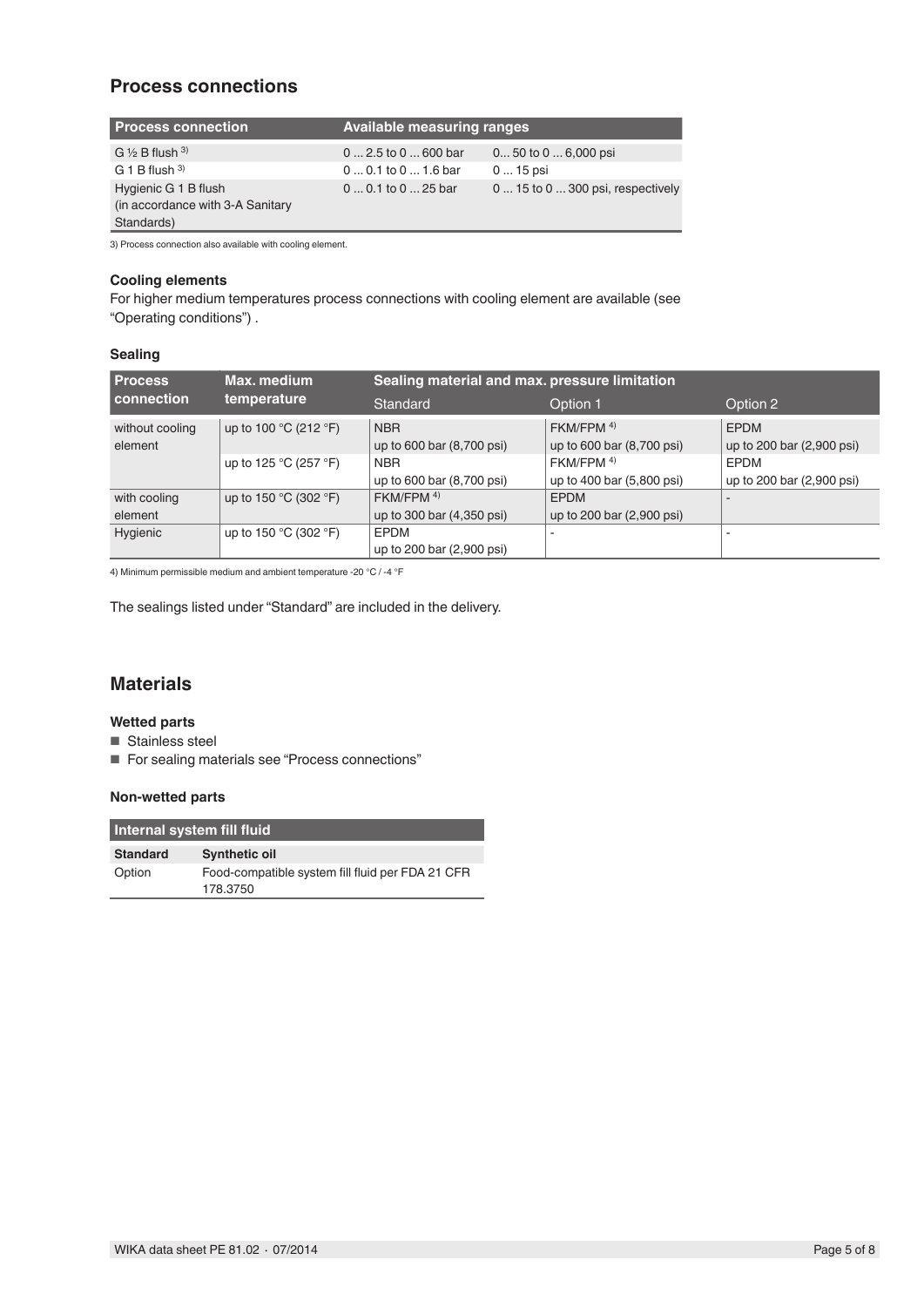## **Process connections**

| <b>Process connection</b>                                              | <b>Available measuring ranges</b> |                                   |  |
|------------------------------------------------------------------------|-----------------------------------|-----------------------------------|--|
| G $\frac{1}{2}$ B flush $\frac{3}{2}$                                  | $02.5$ to $0600$ bar              | $0$ 50 to $0$ 6,000 psi           |  |
| G 1 B flush $3)$                                                       | $00.1$ to $01.6$ bar              | $015$ psi                         |  |
| Hygienic G 1 B flush<br>(in accordance with 3-A Sanitary<br>Standards) | $00.1$ to $025$ bar               | 0  15 to 0  300 psi, respectively |  |

3) Process connection also available with cooling element.

### **Cooling elements**

For higher medium temperatures process connections with cooling element are available (see "Operating conditions") .

### **Sealing**

| <b>Process</b>    | Max. medium<br>temperature                | Sealing material and max. pressure limitation |                           |                           |  |
|-------------------|-------------------------------------------|-----------------------------------------------|---------------------------|---------------------------|--|
| <b>connection</b> |                                           | Standard                                      | Option 1                  | Option 2                  |  |
| without cooling   | up to 100 °C (212 °F)                     | <b>NBR</b>                                    | FKM/FPM 4)                | <b>FPDM</b>               |  |
| element           |                                           | up to 600 bar (8,700 psi)                     | up to 600 bar (8,700 psi) | up to 200 bar (2,900 psi) |  |
|                   | up to 125 °C (257 °F)                     | <b>NBR</b>                                    | FKM/FPM 4)                | <b>EPDM</b>               |  |
|                   |                                           | up to 600 bar (8,700 psi)                     | up to 400 bar (5,800 psi) | up to 200 bar (2,900 psi) |  |
| with cooling      | up to 150 $^{\circ}$ C (302 $^{\circ}$ F) | $FKM/FPM$ <sup>4)</sup>                       | <b>EPDM</b>               |                           |  |
| element           |                                           | up to 300 bar (4,350 psi)                     | up to 200 bar (2,900 psi) |                           |  |
| Hygienic          | up to 150 $^{\circ}$ C (302 $^{\circ}$ F) | <b>EPDM</b>                                   |                           |                           |  |
|                   |                                           | up to 200 bar (2,900 psi)                     |                           |                           |  |

4) Minimum permissible medium and ambient temperature -20 °C / -4 °F

The sealings listed under "Standard" are included in the delivery.

## **Materials**

#### **Wetted parts**

- Stainless steel
- For sealing materials see "Process connections"

#### **Non-wetted parts**

| Internal system fill fluid |                                                  |  |  |
|----------------------------|--------------------------------------------------|--|--|
| <b>Standard</b>            | <b>Synthetic oil</b>                             |  |  |
| Option                     | Food-compatible system fill fluid per FDA 21 CFR |  |  |
|                            | 178.3750                                         |  |  |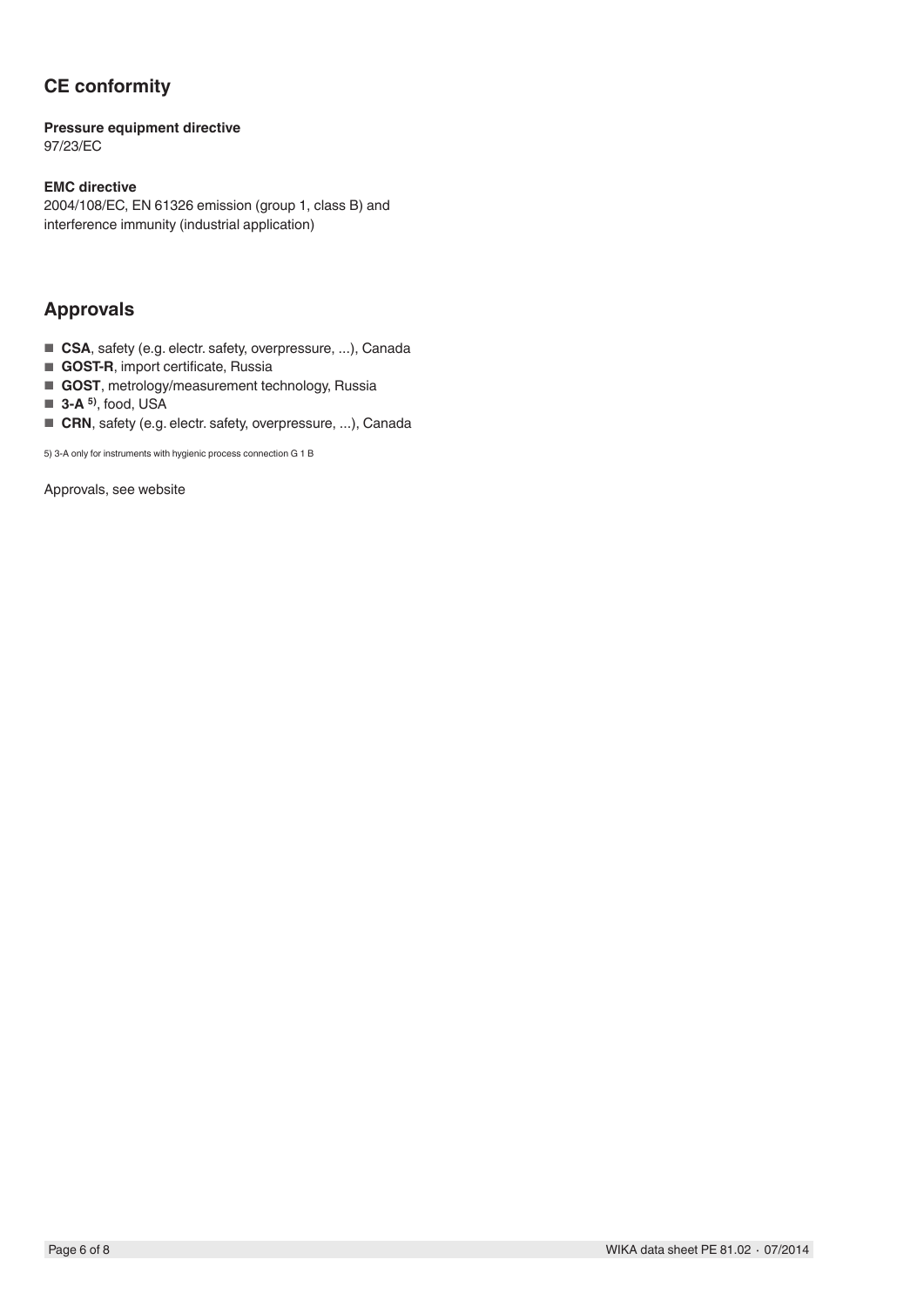# **CE conformity**

#### **Pressure equipment directive** 97/23/EC

### **EMC directive**

2004/108/EC, EN 61326 emission (group 1, class B) and interference immunity (industrial application)

## **Approvals**

- CSA, safety (e.g. electr. safety, overpressure, ...), Canada
- **GOST-R**, import certificate, Russia
- **GOST**, metrology/measurement technology, Russia
- **3-A** <sup>5</sup>, food, USA
- CRN, safety (e.g. electr. safety, overpressure, ...), Canada

5) 3-A only for instruments with hygienic process connection G 1 B

Approvals, see website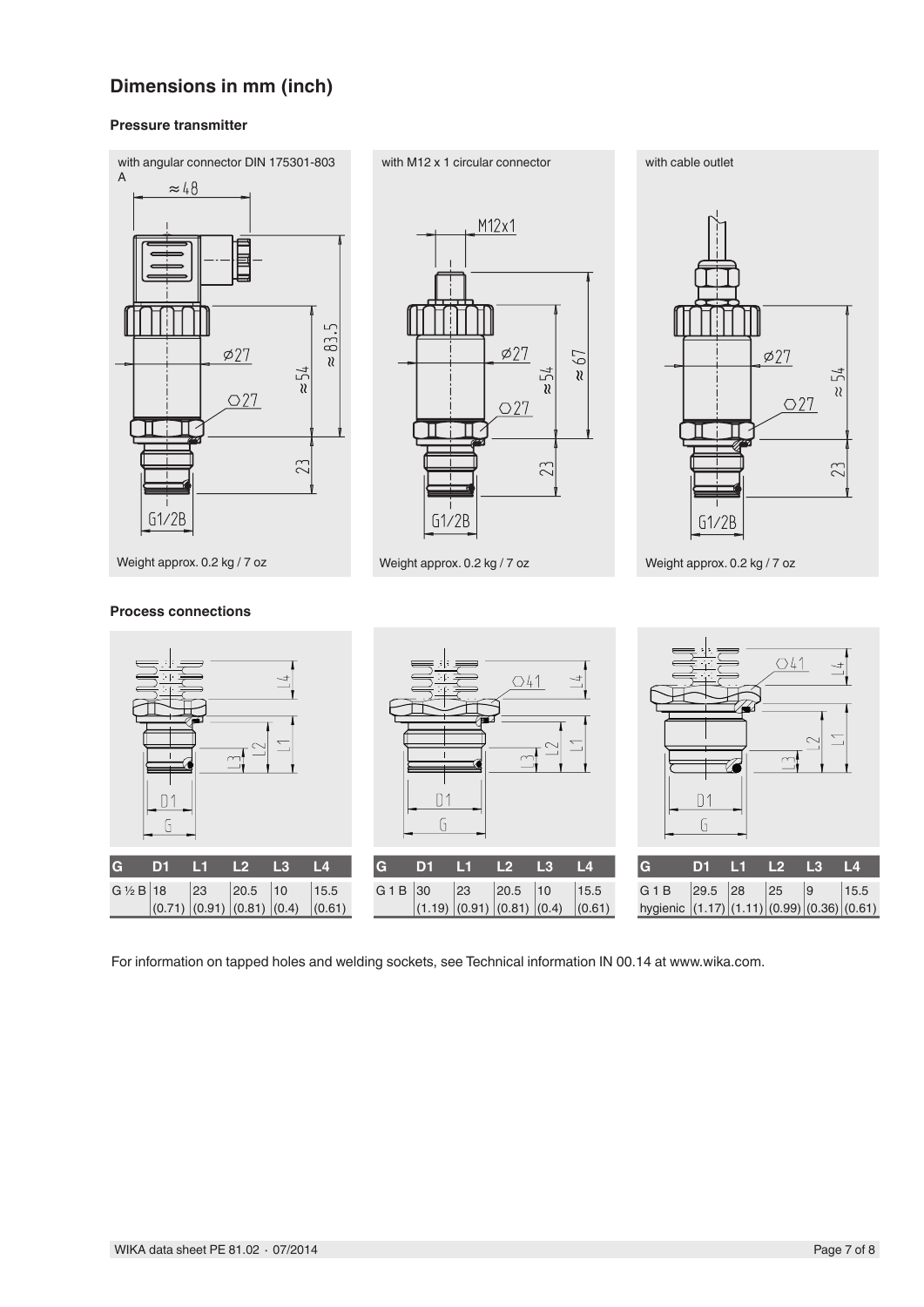# **Dimensions in mm (inch)**

#### **Pressure transmitter**



M12x1  $\varphi27$ 67  $\frac{1}{2}$  $\chi$  $O27$ Πi  $\prod$ 23  $G1/2B$ 





For information on tapped holes and welding sockets, see Technical information IN 00.14 at www.wika.com.

### **Process connections**